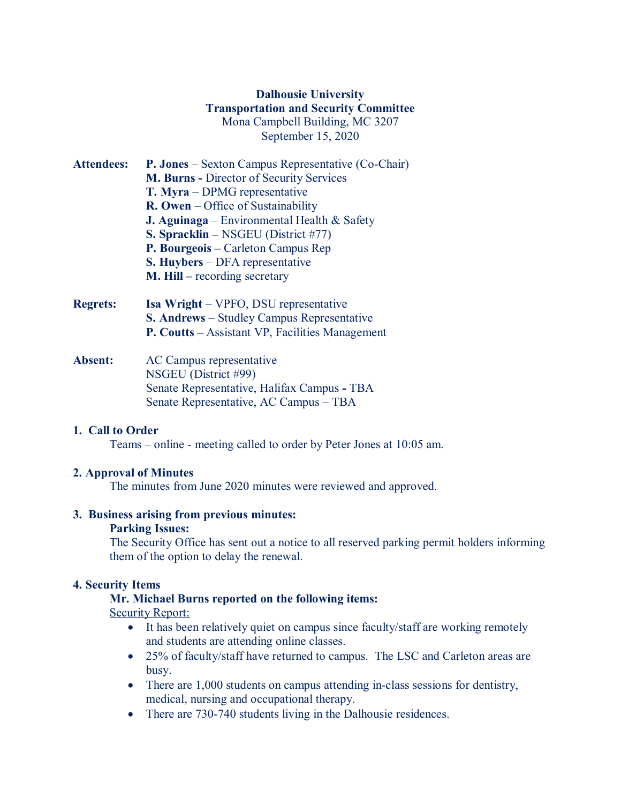# **Dalhousie University Transportation and Security Committee** Mona Campbell Building, MC 3207 September 15, 2020

| <b>Attendees:</b> | <b>P. Jones</b> – Sexton Campus Representative (Co-Chair) |
|-------------------|-----------------------------------------------------------|
|                   | <b>M. Burns - Director of Security Services</b>           |
|                   | T. Myra – DPMG representative                             |
|                   | $\mathbf{R}$ . Owen – Office of Sustainability            |
|                   | <b>J. Aguinaga</b> – Environmental Health & Safety        |
|                   | S. Spracklin – NSGEU (District #77)                       |
|                   | P. Bourgeois - Carleton Campus Rep                        |
|                   | <b>S. Huybers</b> – DFA representative                    |
|                   | $M$ . Hill – recording secretary                          |
| <b>Regrets:</b>   | <b>Isa Wright</b> – VPFO, DSU representative              |
|                   | S. Andrews - Studley Campus Representative                |

**Absent:** AC Campus representative NSGEU (District #99) Senate Representative, Halifax Campus **-** TBA Senate Representative, AC Campus – TBA

## **1. Call to Order**

Teams – online - meeting called to order by Peter Jones at 10:05 am.

**P. Coutts –** Assistant VP, Facilities Management

## **2. Approval of Minutes**

The minutes from June 2020 minutes were reviewed and approved.

#### **3. Business arising from previous minutes:**

#### **Parking Issues:**

The Security Office has sent out a notice to all reserved parking permit holders informing them of the option to delay the renewal.

#### **4. Security Items**

#### **Mr. Michael Burns reported on the following items:**

Security Report:

- It has been relatively quiet on campus since faculty/staff are working remotely and students are attending online classes.
- 25% of faculty/staff have returned to campus. The LSC and Carleton areas are busy.
- There are 1,000 students on campus attending in-class sessions for dentistry, medical, nursing and occupational therapy.
- There are 730-740 students living in the Dalhousie residences.